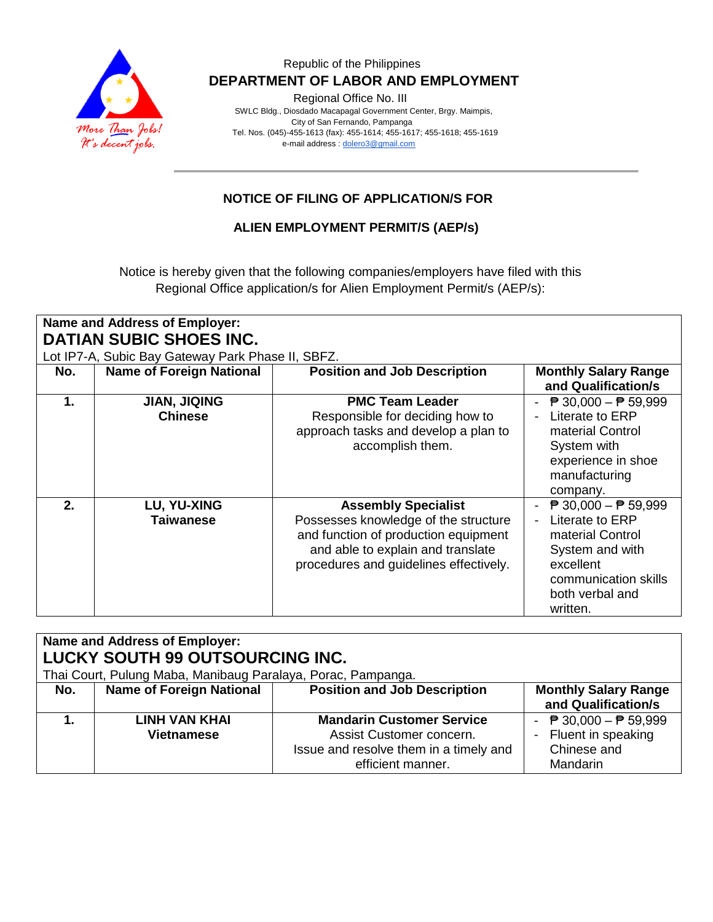

### Republic of the Philippines  **DEPARTMENT OF LABOR AND EMPLOYMENT**

Regional Office No. III

 SWLC Bldg., Diosdado Macapagal Government Center, Brgy. Maimpis, City of San Fernando, Pampanga Tel. Nos. (045)-455-1613 (fax): 455-1614; 455-1617; 455-1618; 455-1619 e-mail address [: dolero3@gmail.com](mailto:dolero3@gmail.com)

### **NOTICE OF FILING OF APPLICATION/S FOR**

**ALIEN EMPLOYMENT PERMIT/S (AEP/s)**

Notice is hereby given that the following companies/employers have filed with this Regional Office application/s for Alien Employment Permit/s (AEP/s):

| <b>Name and Address of Employer:</b><br><b>DATIAN SUBIC SHOES INC.</b> |                                       |                                                                                                                                                                                           |                                                                                                                                                                             |  |  |  |  |
|------------------------------------------------------------------------|---------------------------------------|-------------------------------------------------------------------------------------------------------------------------------------------------------------------------------------------|-----------------------------------------------------------------------------------------------------------------------------------------------------------------------------|--|--|--|--|
| Lot IP7-A, Subic Bay Gateway Park Phase II, SBFZ.                      |                                       |                                                                                                                                                                                           |                                                                                                                                                                             |  |  |  |  |
| No.                                                                    | <b>Name of Foreign National</b>       | <b>Position and Job Description</b>                                                                                                                                                       | <b>Monthly Salary Range</b><br>and Qualification/s                                                                                                                          |  |  |  |  |
| 1.                                                                     | <b>JIAN, JIQING</b><br><b>Chinese</b> | <b>PMC Team Leader</b><br>Responsible for deciding how to<br>approach tasks and develop a plan to<br>accomplish them.                                                                     | $\overline{P}$ 30,000 − $\overline{P}$ 59,999<br>Literate to ERP<br>material Control<br>System with<br>experience in shoe<br>manufacturing<br>company.                      |  |  |  |  |
| 2.                                                                     | LU, YU-XING<br><b>Taiwanese</b>       | <b>Assembly Specialist</b><br>Possesses knowledge of the structure<br>and function of production equipment<br>and able to explain and translate<br>procedures and guidelines effectively. | $\overline{P}$ 30,000 - $\overline{P}$ 59,999<br>Literate to ERP<br>material Control<br>System and with<br>excellent<br>communication skills<br>both verbal and<br>written. |  |  |  |  |

| <b>Name and Address of Employer:</b>                         |                                 |                                     |  |  |  |  |
|--------------------------------------------------------------|---------------------------------|-------------------------------------|--|--|--|--|
| LUCKY SOUTH 99 OUTSOURCING INC.                              |                                 |                                     |  |  |  |  |
| Thai Court, Pulung Maba, Manibaug Paralaya, Porac, Pampanga. |                                 |                                     |  |  |  |  |
| No.                                                          | <b>Name of Foreign National</b> | <b>Position and Job Description</b> |  |  |  |  |
|                                                              |                                 |                                     |  |  |  |  |
| 1.                                                           | LINH VAN KHAI                   | <b>Mandarin Customer Service</b>    |  |  |  |  |

| $\overline{ }$ | <b>Name of Foreign National</b>    | <b>Position and Job Description</b>                                                                                         | <b>Monthly Salary Range</b><br>and Qualification/s                                                        |
|----------------|------------------------------------|-----------------------------------------------------------------------------------------------------------------------------|-----------------------------------------------------------------------------------------------------------|
| ٠              | LINH VAN KHAI<br><b>Vietnamese</b> | <b>Mandarin Customer Service</b><br>Assist Customer concern.<br>Issue and resolve them in a timely and<br>efficient manner. | - $\overline{P}$ 30,000 - $\overline{P}$ 59,999<br>- Fluent in speaking<br>Chinese and<br><b>Mandarin</b> |